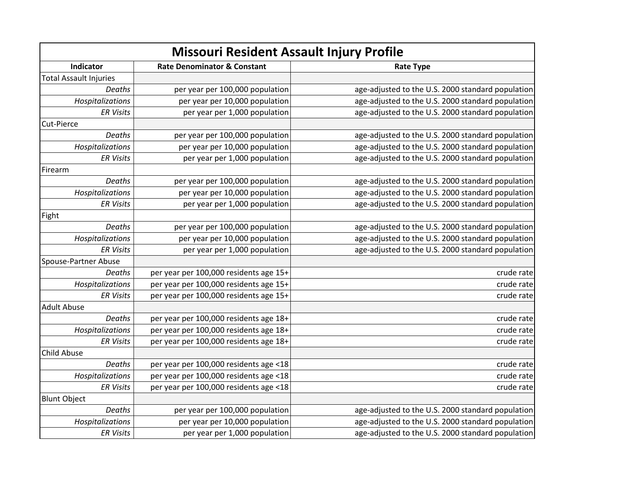| Missouri Resident Assault Injury Profile |                                        |                                                   |
|------------------------------------------|----------------------------------------|---------------------------------------------------|
| Indicator                                | <b>Rate Denominator &amp; Constant</b> | <b>Rate Type</b>                                  |
| <b>Total Assault Injuries</b>            |                                        |                                                   |
| Deaths                                   | per year per 100,000 population        | age-adjusted to the U.S. 2000 standard population |
| Hospitalizations                         | per year per 10,000 population         | age-adjusted to the U.S. 2000 standard population |
| <b>ER Visits</b>                         | per year per 1,000 population          | age-adjusted to the U.S. 2000 standard population |
| Cut-Pierce                               |                                        |                                                   |
| Deaths                                   | per year per 100,000 population        | age-adjusted to the U.S. 2000 standard population |
| Hospitalizations                         | per year per 10,000 population         | age-adjusted to the U.S. 2000 standard population |
| <b>ER Visits</b>                         | per year per 1,000 population          | age-adjusted to the U.S. 2000 standard population |
| Firearm                                  |                                        |                                                   |
| Deaths                                   | per year per 100,000 population        | age-adjusted to the U.S. 2000 standard population |
| Hospitalizations                         | per year per 10,000 population         | age-adjusted to the U.S. 2000 standard population |
| <b>ER Visits</b>                         | per year per 1,000 population          | age-adjusted to the U.S. 2000 standard population |
| Fight                                    |                                        |                                                   |
| Deaths                                   | per year per 100,000 population        | age-adjusted to the U.S. 2000 standard population |
| Hospitalizations                         | per year per 10,000 population         | age-adjusted to the U.S. 2000 standard population |
| <b>ER Visits</b>                         | per year per 1,000 population          | age-adjusted to the U.S. 2000 standard population |
| Spouse-Partner Abuse                     |                                        |                                                   |
| Deaths                                   | per year per 100,000 residents age 15+ | crude rate                                        |
| Hospitalizations                         | per year per 100,000 residents age 15+ | crude rate                                        |
| <b>ER Visits</b>                         | per year per 100,000 residents age 15+ | crude rate                                        |
| <b>Adult Abuse</b>                       |                                        |                                                   |
| Deaths                                   | per year per 100,000 residents age 18+ | crude rate                                        |
| Hospitalizations                         | per year per 100,000 residents age 18+ | crude rate                                        |
| <b>ER Visits</b>                         | per year per 100,000 residents age 18+ | crude rate                                        |
| <b>Child Abuse</b>                       |                                        |                                                   |
| Deaths                                   | per year per 100,000 residents age <18 | crude rate                                        |
| Hospitalizations                         | per year per 100,000 residents age <18 | crude rate                                        |
| <b>ER Visits</b>                         | per year per 100,000 residents age <18 | crude rate                                        |
| <b>Blunt Object</b>                      |                                        |                                                   |
| Deaths                                   | per year per 100,000 population        | age-adjusted to the U.S. 2000 standard population |
| Hospitalizations                         | per year per 10,000 population         | age-adjusted to the U.S. 2000 standard population |
| <b>ER Visits</b>                         | per year per 1,000 population          | age-adjusted to the U.S. 2000 standard population |